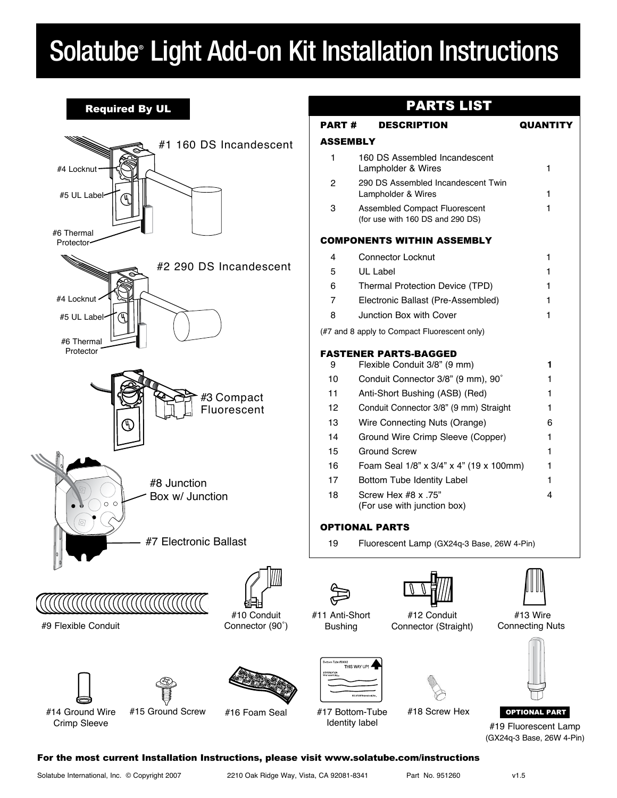## Solatube® Light Add-on Kit Installation Instructions

## Required By UL



## PARTS LIST

I

| PART #         | <b>DESCRIPTION</b>                                                            | <b>QUANTITY</b> |  |  |
|----------------|-------------------------------------------------------------------------------|-----------------|--|--|
| ASSEMBLY       |                                                                               |                 |  |  |
| 1              | 160 DS Assembled Incandescent<br>Lampholder & Wires<br>1                      |                 |  |  |
| 2              | 290 DS Assembled Incandescent Twin<br>Lampholder & Wires<br>1                 |                 |  |  |
| 3              | 1<br><b>Assembled Compact Fluorescent</b><br>(for use with 160 DS and 290 DS) |                 |  |  |
|                | COMPONENTS WITHIN ASSEMBLY                                                    |                 |  |  |
| 4              | <b>Connector Locknut</b>                                                      | 1               |  |  |
| 5              | UL Label                                                                      | 1               |  |  |
| 6              | Thermal Protection Device (TPD)                                               | 1               |  |  |
| $\overline{7}$ | Electronic Ballast (Pre-Assembled)                                            | 1               |  |  |
| 8              | Junction Box with Cover                                                       | 1               |  |  |
|                | (#7 and 8 apply to Compact Fluorescent only)                                  |                 |  |  |
|                | <b>FASTENER PARTS-BAGGED</b>                                                  |                 |  |  |
| 9              | Flexible Conduit 3/8" (9 mm)                                                  | 1               |  |  |
| 10             | Conduit Connector 3/8" (9 mm), 90°                                            | 1               |  |  |
| 11             | Anti-Short Bushing (ASB) (Red)                                                | 1               |  |  |
| 12             | Conduit Connector 3/8" (9 mm) Straight                                        | 1               |  |  |
| 13             | Wire Connecting Nuts (Orange)                                                 | 6               |  |  |
| 14             | Ground Wire Crimp Sleeve (Copper)                                             | 1               |  |  |
| 15             | <b>Ground Screw</b>                                                           | 1               |  |  |
| 16             | Foam Seal 1/8" x 3/4" x 4" (19 x 100mm)                                       | 1               |  |  |
| 17             | Bottom Tube Identity Label                                                    | 1               |  |  |
| 18             | Screw Hex #8 x .75"<br>(For use with junction box)                            | 4               |  |  |
|                | OPTIONAL PARTS                                                                |                 |  |  |

19 Fluorescent Lamp (GX24q-3 Base, 26W 4-Pin)





Connector (Straight)



 #13 Wire Connecting Nuts



OPTIONAL PART

#19 Fluorescent Lamp (GX24q-3 Base, 26W 4-Pin)

### #14 Ground Wire Crimp Sleeve

#16 Foam Seal

#11 Anti-Short Bushing







For the most current Installation Instructions, please visit www.solatube.com/instructions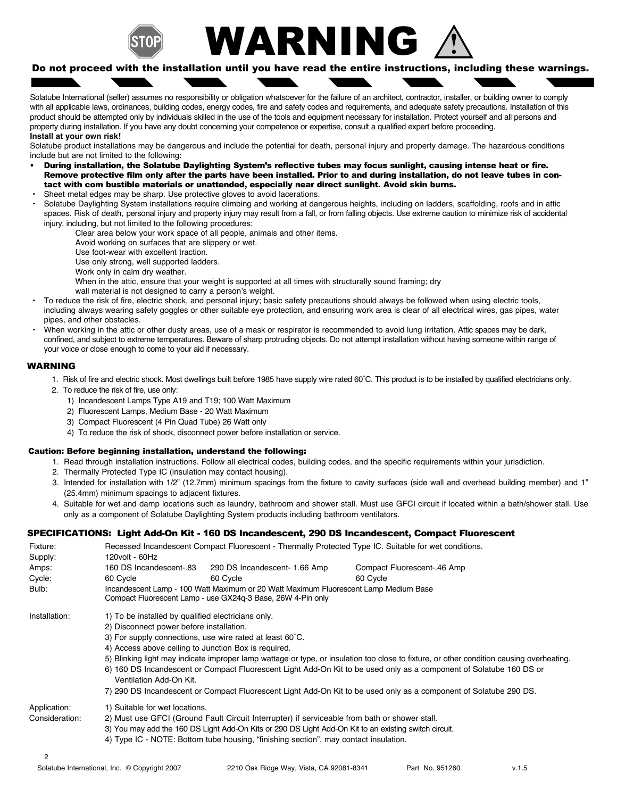

# WARNING

#### Do not proceed with the installation until you have read the entire instructions, including these warnings.

Solatube International (seller) assumes no responsibility or obligation whatsoever for the failure of an architect, contractor, installer, or building owner to comply with all applicable laws, ordinances, building codes, energy codes, fire and safety codes and requirements, and adequate safety precautions. Installation of this product should be attempted only by individuals skilled in the use of the tools and equipment necessary for installation. Protect yourself and all persons and property during installation. If you have any doubt concerning your competence or expertise, consult a qualified expert before proceeding. **Install at your own risk!**

#### Solatube product installations may be dangerous and include the potential for death, personal injury and property damage. The hazardous conditions include but are not limited to the following:

- During installation, the Solatube Daylighting System's reflective tubes may focus sunlight, causing intense heat or fire. Remove protective film only after the parts have been installed. Prior to and during installation, do not leave tubes in contact with com bustible materials or unattended, especially near direct sunlight. Avoid skin burns.
- Sheet metal edges may be sharp. Use protective gloves to avoid lacerations.
- Solatube Daylighting System installations require climbing and working at dangerous heights, including on ladders, scaffolding, roofs and in attic spaces. Risk of death, personal injury and property injury may result from a fall, or from falling objects. Use extreme caution to minimize risk of accidental injury, including, but not limited to the following procedures:
	- Clear area below your work space of all people, animals and other items.
	- Avoid working on surfaces that are slippery or wet.
	- Use foot-wear with excellent traction.
	- Use only strong, well supported ladders.
	- Work only in calm dry weather.
	- When in the attic, ensure that your weight is supported at all times with structurally sound framing; dry
	- wall material is not designed to carry a person's weight.
- To reduce the risk of fire, electric shock, and personal injury; basic safety precautions should always be followed when using electric tools, including always wearing safety goggles or other suitable eye protection, and ensuring work area is clear of all electrical wires, gas pipes, water pipes, and other obstacles.
- When working in the attic or other dusty areas, use of a mask or respirator is recommended to avoid lung irritation. Attic spaces may be dark, confined, and subject to extreme temperatures. Beware of sharp protruding objects. Do not attempt installation without having someone within range of your voice or close enough to come to your aid if necessary.

#### WARNING

- 1. Risk of fire and electric shock. Most dwellings built before 1985 have supply wire rated 60˚C. This product is to be installed by qualified electricians only.
- 2. To reduce the risk of fire, use only:
	- 1) Incandescent Lamps Type A19 and T19; 100 Watt Maximum
	- 2) Fluorescent Lamps, Medium Base 20 Watt Maximum
	- 3) Compact Fluorescent (4 Pin Quad Tube) 26 Watt only
	- 4) To reduce the risk of shock, disconnect power before installation or service.

#### Caution: Before beginning installation, understand the following:

- 1. Read through installation instructions. Follow all electrical codes, building codes, and the specific requirements within your jurisdiction.
- 2. Thermally Protected Type IC (insulation may contact housing).
- 3. Intended for installation with 1/2" (12.7mm) minimum spacings from the fixture to cavity surfaces (side wall and overhead building member) and 1" (25.4mm) minimum spacings to adjacent fixtures.
- 4. Suitable for wet and damp locations such as laundry, bathroom and shower stall. Must use GFCI circuit if located within a bath/shower stall. Use only as a component of Solatube Daylighting System products including bathroom ventilators.

#### SPECIFICATIONS: Light Add-On Kit - 160 DS Incandescent, 290 DS Incandescent, Compact Fluorescent

| Fixture:       | Recessed Incandescent Compact Fluorescent - Thermally Protected Type IC. Suitable for wet conditions.                                               |                               |                             |  |  |
|----------------|-----------------------------------------------------------------------------------------------------------------------------------------------------|-------------------------------|-----------------------------|--|--|
| Supply:        | 120volt - 60Hz                                                                                                                                      |                               |                             |  |  |
| Amps:          | 160 DS Incandescent-.83                                                                                                                             | 290 DS Incandescent- 1.66 Amp | Compact Fluorescent-.46 Amp |  |  |
| Cycle:         | 60 Cycle                                                                                                                                            | 60 Cycle                      | 60 Cycle                    |  |  |
| Bulb:          | Incandescent Lamp - 100 Watt Maximum or 20 Watt Maximum Fluorescent Lamp Medium Base<br>Compact Fluorescent Lamp - use GX24q-3 Base, 26W 4-Pin only |                               |                             |  |  |
| Installation:  | 1) To be installed by qualified electricians only.                                                                                                  |                               |                             |  |  |
|                | 2) Disconnect power before installation.                                                                                                            |                               |                             |  |  |
|                | 3) For supply connections, use wire rated at least 60°C.                                                                                            |                               |                             |  |  |
|                | 4) Access above ceiling to Junction Box is required.                                                                                                |                               |                             |  |  |
|                | 5) Blinking light may indicate improper lamp wattage or type, or insulation too close to fixture, or other condition causing overheating.           |                               |                             |  |  |
|                | 6) 160 DS Incandescent or Compact Fluorescent Light Add-On Kit to be used only as a component of Solatube 160 DS or<br>Ventilation Add-On Kit.      |                               |                             |  |  |
|                | 7) 290 DS Incandescent or Compact Fluorescent Light Add-On Kit to be used only as a component of Solatube 290 DS.                                   |                               |                             |  |  |
| Application:   | 1) Suitable for wet locations.                                                                                                                      |                               |                             |  |  |
| Consideration: | 2) Must use GFCI (Ground Fault Circuit Interrupter) if serviceable from bath or shower stall.                                                       |                               |                             |  |  |
|                | 3) You may add the 160 DS Light Add-On Kits or 290 DS Light Add-On Kit to an existing switch circuit.                                               |                               |                             |  |  |
|                | 4) Type IC - NOTE: Bottom tube housing, "finishing section", may contact insulation.                                                                |                               |                             |  |  |
| 2              |                                                                                                                                                     |                               |                             |  |  |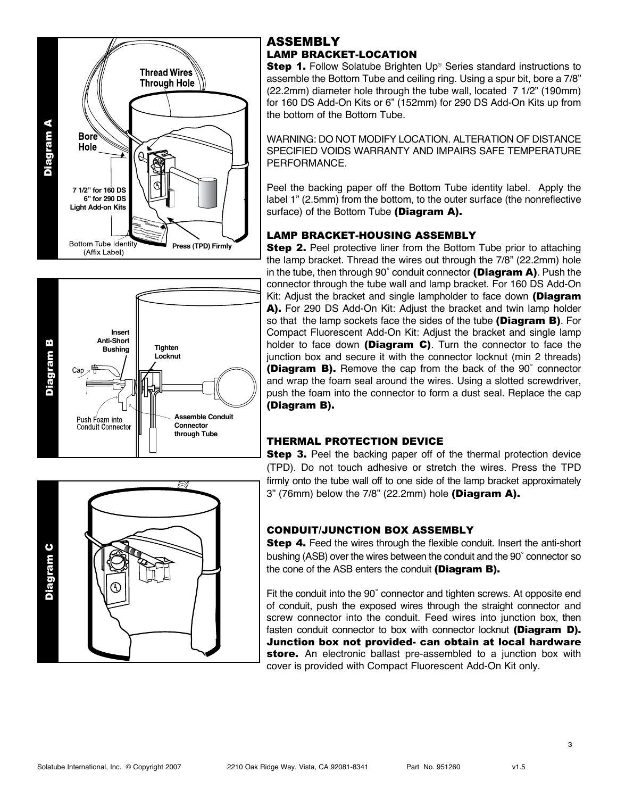



## ASSEMBLY LAMP BRACKET-LOCATION

**Step 1.** Follow Solatube Brighten Up® Series standard instructions to assemble the Bottom Tube and ceiling ring. Using a spur bit, bore a 7/8" (22.2mm) diameter hole through the tube wall, located 7 1/2" (190mm) for 160 DS Add-On Kits or 6" (152mm) for 290 DS Add-On Kits up from the bottom of the Bottom Tube.

WARNING: DO NOT MODIFY LOCATION. ALTERATION OF DISTANCE SPECIFIED VOIDS WARRANTY AND IMPAIRS SAFE TEMPERATURE PERFORMANCE.

Peel the backing paper off the Bottom Tube identity label. Apply the label 1" (2.5mm) from the bottom, to the outer surface (the nonreflective surface) of the Bottom Tube (Diagram A).

## LAMP BRACKET-HOUSING ASSEMBLY

**Step 2.** Peel protective liner from the Bottom Tube prior to attaching the lamp bracket. Thread the wires out through the 7/8" (22.2mm) hole in the tube, then through 90° conduit connector (Diagram A). Push the connector through the tube wall and lamp bracket. For 160 DS Add-On Kit: Adjust the bracket and single lampholder to face down (Diagram A). For 290 DS Add-On Kit: Adjust the bracket and twin lamp holder so that the lamp sockets face the sides of the tube (Diagram B). For Compact Fluorescent Add-On Kit: Adjust the bracket and single lamp holder to face down (Diagram C). Turn the connector to face the junction box and secure it with the connector locknut (min 2 threads) (Diagram B). Remove the cap from the back of the 90˚ connector and wrap the foam seal around the wires. Using a slotted screwdriver, push the foam into the connector to form a dust seal. Replace the cap (Diagram B).

## THERMAL PROTECTION DEVICE

**Step 3.** Peel the backing paper off of the thermal protection device (TPD). Do not touch adhesive or stretch the wires. Press the TPD firmly onto the tube wall off to one side of the lamp bracket approximately  $3"$  (76mm) below the  $7/8"$  (22.2mm) hole (Diagram A).

## CONDUIT/JUNCTION BOX ASSEMBLY

**Step 4.** Feed the wires through the flexible conduit. Insert the anti-short bushing (ASB) over the wires between the conduit and the 90˚ connector so the cone of the ASB enters the conduit (Diagram B).

Fit the conduit into the 90˚ connector and tighten screws. At opposite end of conduit, push the exposed wires through the straight connector and screw connector into the conduit. Feed wires into junction box, then fasten conduit connector to box with connector locknut (Diagram D). Junction box not provided- can obtain at local hardware store. An electronic ballast pre-assembled to a junction box with cover is provided with Compact Fluorescent Add-On Kit only.



3